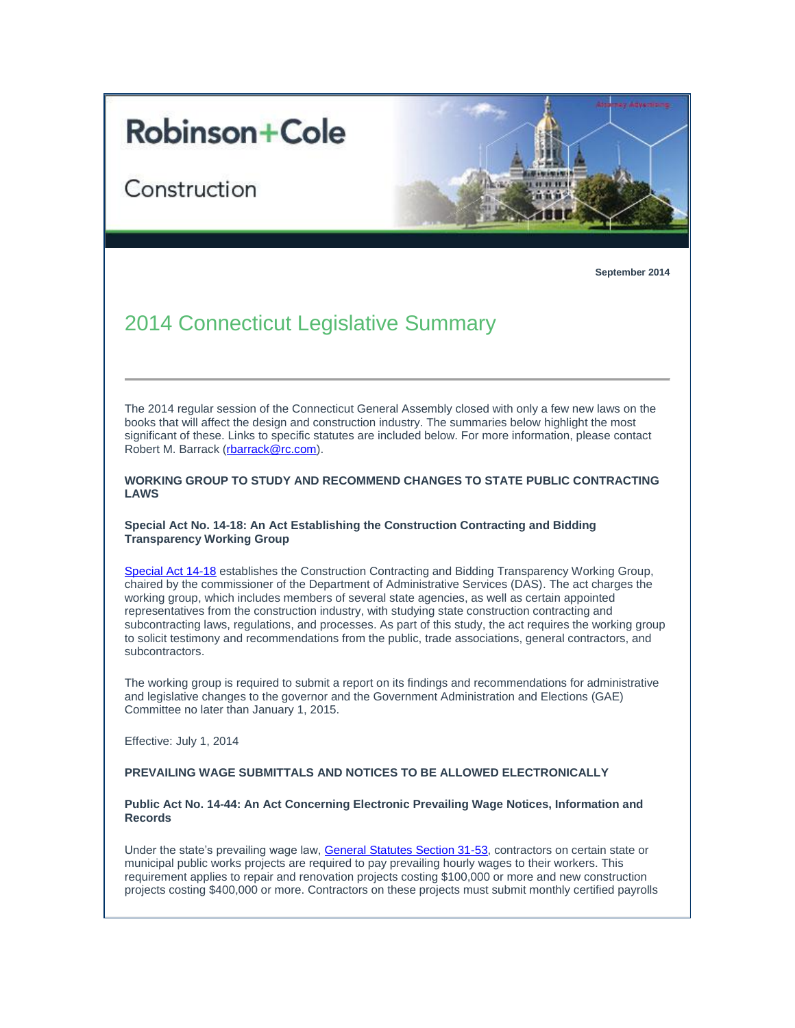# **Robinson+Cole**

Construction



**September 2014**

# 2014 Connecticut Legislative Summary

The 2014 regular session of the Connecticut General Assembly closed with only a few new laws on the books that will affect the design and construction industry. The summaries below highlight the most significant of these. Links to specific statutes are included below. For more information, please contact Robert M. Barrack [\(rbarrack@rc.com\)](mailto:rbarrack@rc.com).

**WORKING GROUP TO STUDY AND RECOMMEND CHANGES TO STATE PUBLIC CONTRACTING LAWS**

# **Special Act No. 14-18: An Act Establishing the Construction Contracting and Bidding Transparency Working Group**

[Special Act 14-18](http://t2806904.omkt.co/track.aspx?id=402|2AD478|6F10|19C|738|0|518|1|67F8631C&destination=http%3a%2f%2fwww.cga.ct.gov%2f2014%2fACT%2fSA%2f2014SA-00018-R00HB-05311-SA.htm&dchk=3EE7ED03) establishes the Construction Contracting and Bidding Transparency Working Group, chaired by the commissioner of the Department of Administrative Services (DAS). The act charges the working group, which includes members of several state agencies, as well as certain appointed representatives from the construction industry, with studying state construction contracting and subcontracting laws, regulations, and processes. As part of this study, the act requires the working group to solicit testimony and recommendations from the public, trade associations, general contractors, and subcontractors.

The working group is required to submit a report on its findings and recommendations for administrative and legislative changes to the governor and the Government Administration and Elections (GAE) Committee no later than January 1, 2015.

Effective: July 1, 2014

# **PREVAILING WAGE SUBMITTALS AND NOTICES TO BE ALLOWED ELECTRONICALLY**

#### **Public Act No. 14-44: An Act Concerning Electronic Prevailing Wage Notices, Information and Records**

Under the state's prevailing wage law, [General Statutes Section 31-53,](http://t2806904.omkt.co/track.aspx?id=402|2AD478|6F10|19C|738|0|519|1|67F8631C&destination=http%3a%2f%2fwww.cga.ct.gov%2f2014%2fsup%2fchap_557.htm%23sec_31-53&dchk=552405DB) contractors on certain state or municipal public works projects are required to pay prevailing hourly wages to their workers. This requirement applies to repair and renovation projects costing \$100,000 or more and new construction projects costing \$400,000 or more. Contractors on these projects must submit monthly certified payrolls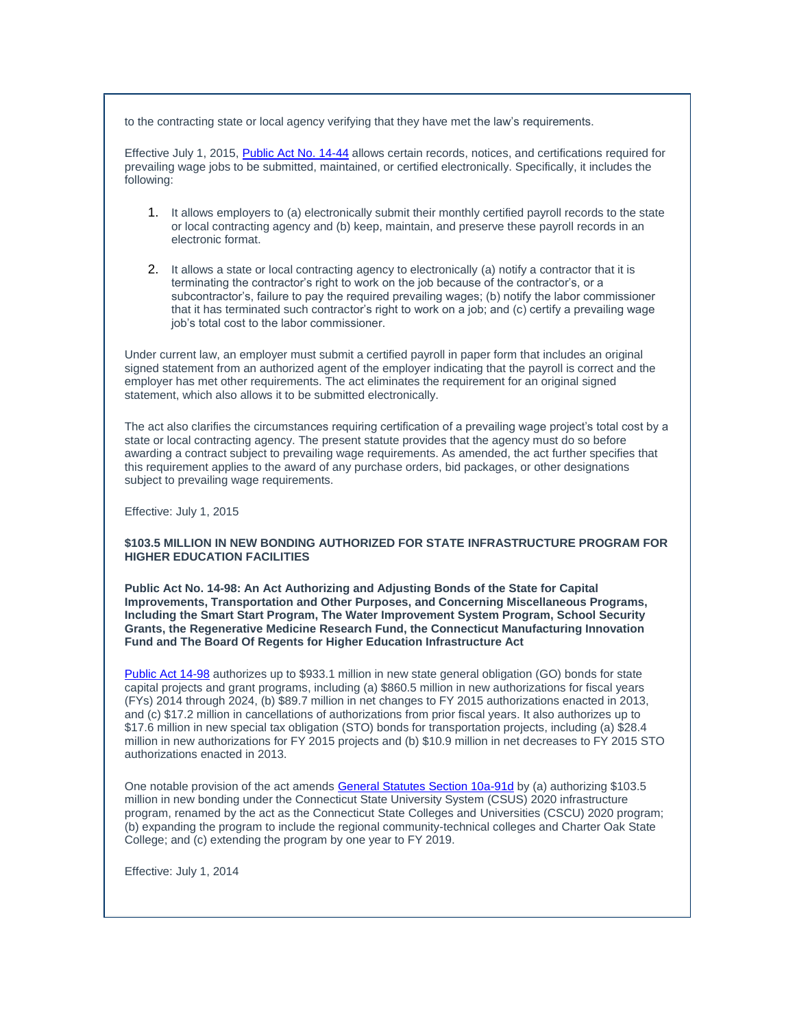to the contracting state or local agency verifying that they have met the law's requirements.

Effective July 1, 2015[, Public Act No. 14-44](http://t2806904.omkt.co/track.aspx?id=402|2AD478|6F10|19C|738|0|51A|1|67F8631C&destination=http%3a%2f%2fwww.cga.ct.gov%2f2014%2fACT%2fPA%2f2014PA-00044-R00SB-00318-PA.htm&dchk=443C2827) allows certain records, notices, and certifications required for prevailing wage jobs to be submitted, maintained, or certified electronically. Specifically, it includes the following:

- 1. It allows employers to (a) electronically submit their monthly certified payroll records to the state or local contracting agency and (b) keep, maintain, and preserve these payroll records in an electronic format.
- 2. It allows a state or local contracting agency to electronically (a) notify a contractor that it is terminating the contractor's right to work on the job because of the contractor's, or a subcontractor's, failure to pay the required prevailing wages; (b) notify the labor commissioner that it has terminated such contractor's right to work on a job; and (c) certify a prevailing wage job's total cost to the labor commissioner.

Under current law, an employer must submit a certified payroll in paper form that includes an original signed statement from an authorized agent of the employer indicating that the payroll is correct and the employer has met other requirements. The act eliminates the requirement for an original signed statement, which also allows it to be submitted electronically.

The act also clarifies the circumstances requiring certification of a prevailing wage project's total cost by a state or local contracting agency. The present statute provides that the agency must do so before awarding a contract subject to prevailing wage requirements. As amended, the act further specifies that this requirement applies to the award of any purchase orders, bid packages, or other designations subject to prevailing wage requirements.

Effective: July 1, 2015

# **\$103.5 MILLION IN NEW BONDING AUTHORIZED FOR STATE INFRASTRUCTURE PROGRAM FOR HIGHER EDUCATION FACILITIES**

**Public Act No. 14-98: An Act Authorizing and Adjusting Bonds of the State for Capital Improvements, Transportation and Other Purposes, and Concerning Miscellaneous Programs, Including the Smart Start Program, The Water Improvement System Program, School Security Grants, the Regenerative Medicine Research Fund, the Connecticut Manufacturing Innovation Fund and The Board Of Regents for Higher Education Infrastructure Act**

[Public Act 14-98](http://t2806904.omkt.co/track.aspx?id=402|2AD478|6F10|19C|738|0|51B|1|67F8631C&destination=http%3a%2f%2fwww.cga.ct.gov%2f2014%2fACT%2fPA%2f2014PA-00098-R00SB-00029-PA.htm&dchk=48F5C2A3) authorizes up to \$933.1 million in new state general obligation (GO) bonds for state capital projects and grant programs, including (a) \$860.5 million in new authorizations for fiscal years (FYs) 2014 through 2024, (b) \$89.7 million in net changes to FY 2015 authorizations enacted in 2013, and (c) \$17.2 million in cancellations of authorizations from prior fiscal years. It also authorizes up to \$17.6 million in new special tax obligation (STO) bonds for transportation projects, including (a) \$28.4 million in new authorizations for FY 2015 projects and (b) \$10.9 million in net decreases to FY 2015 STO authorizations enacted in 2013.

One notable provision of the act amends [General Statutes Section 10a-91d](http://t2806904.omkt.co/track.aspx?id=402|2AD478|6F10|19C|738|0|51C|1|67F8631C&destination=http%3a%2f%2fwww.cga.ct.gov%2fcurrent%2fpub%2fchap_185b.htm%23sec_10a-91d&dchk=3006E083) by (a) authorizing \$103.5 million in new bonding under the Connecticut State University System (CSUS) 2020 infrastructure program, renamed by the act as the Connecticut State Colleges and Universities (CSCU) 2020 program; (b) expanding the program to include the regional community-technical colleges and Charter Oak State College; and (c) extending the program by one year to FY 2019.

Effective: July 1, 2014